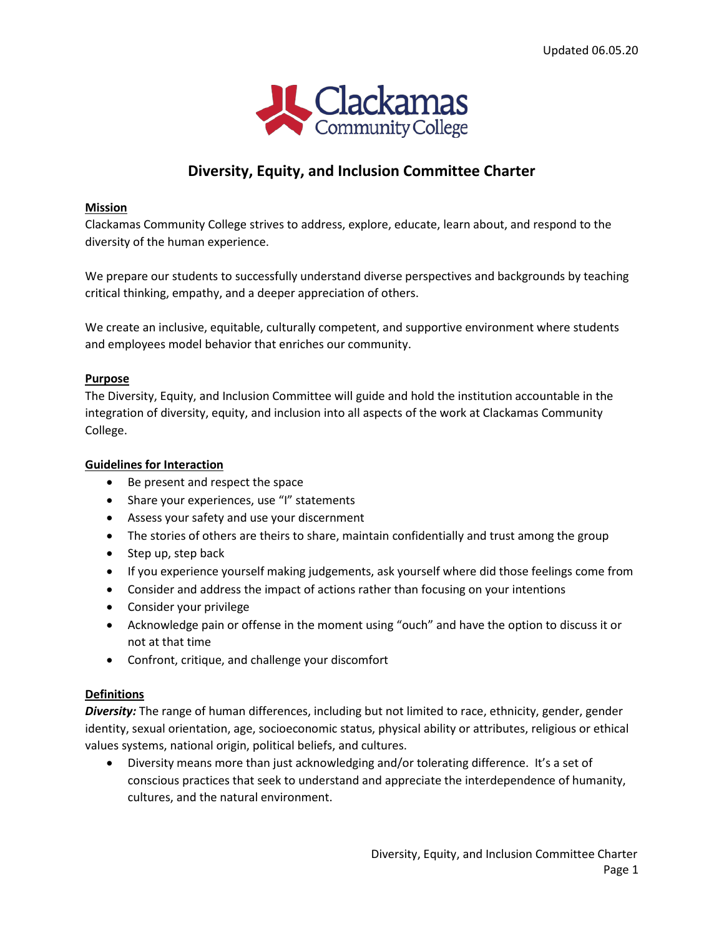

# **Diversity, Equity, and Inclusion Committee Charter**

#### **Mission**

Clackamas Community College strives to address, explore, educate, learn about, and respond to the diversity of the human experience.

We prepare our students to successfully understand diverse perspectives and backgrounds by teaching critical thinking, empathy, and a deeper appreciation of others.

We create an inclusive, equitable, culturally competent, and supportive environment where students and employees model behavior that enriches our community.

#### **Purpose**

The Diversity, Equity, and Inclusion Committee will guide and hold the institution accountable in the integration of diversity, equity, and inclusion into all aspects of the work at Clackamas Community College.

#### **Guidelines for Interaction**

- Be present and respect the space
- Share your experiences, use "I" statements
- Assess your safety and use your discernment
- The stories of others are theirs to share, maintain confidentially and trust among the group
- Step up, step back
- If you experience yourself making judgements, ask yourself where did those feelings come from
- Consider and address the impact of actions rather than focusing on your intentions
- Consider your privilege
- Acknowledge pain or offense in the moment using "ouch" and have the option to discuss it or not at that time
- Confront, critique, and challenge your discomfort

#### **Definitions**

*Diversity:* The range of human differences, including but not limited to race, ethnicity, gender, gender identity, sexual orientation, age, socioeconomic status, physical ability or attributes, religious or ethical values systems, national origin, political beliefs, and cultures.

 Diversity means more than just acknowledging and/or tolerating difference. It's a set of conscious practices that seek to understand and appreciate the interdependence of humanity, cultures, and the natural environment.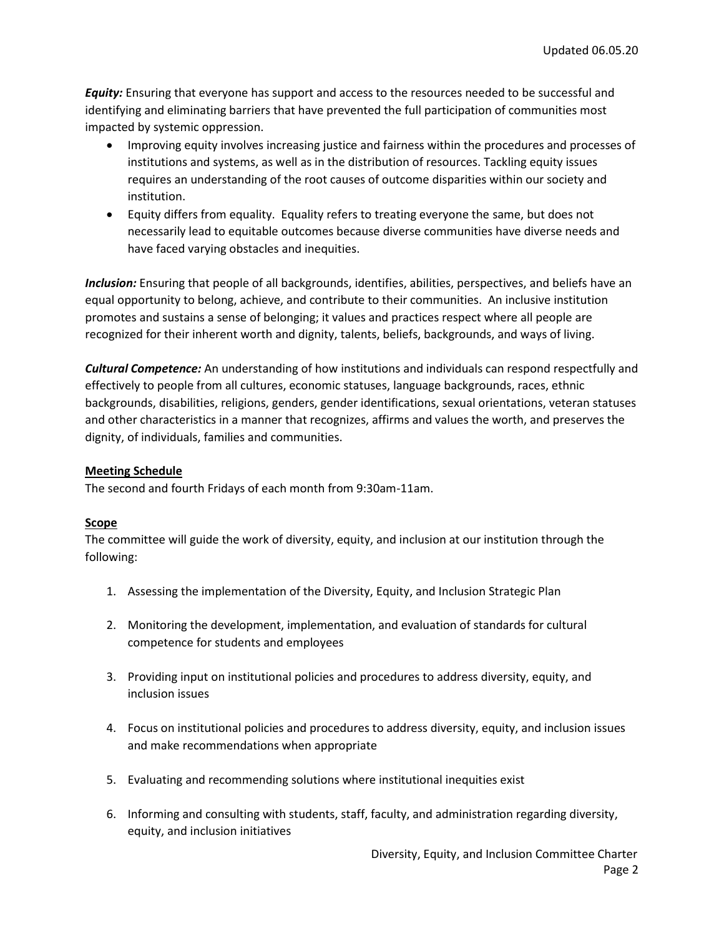*Equity:* Ensuring that everyone has support and access to the resources needed to be successful and identifying and eliminating barriers that have prevented the full participation of communities most impacted by systemic oppression.

- Improving equity involves increasing justice and fairness within the procedures and processes of institutions and systems, as well as in the distribution of resources. Tackling equity issues requires an understanding of the root causes of outcome disparities within our society and institution.
- Equity differs from equality. Equality refers to treating everyone the same, but does not necessarily lead to equitable outcomes because diverse communities have diverse needs and have faced varying obstacles and inequities.

*Inclusion:* Ensuring that people of all backgrounds, identifies, abilities, perspectives, and beliefs have an equal opportunity to belong, achieve, and contribute to their communities. An inclusive institution promotes and sustains a sense of belonging; it values and practices respect where all people are recognized for their inherent worth and dignity, talents, beliefs, backgrounds, and ways of living.

*Cultural Competence:* An understanding of how institutions and individuals can respond respectfully and effectively to people from all cultures, economic statuses, language backgrounds, races, ethnic backgrounds, disabilities, religions, genders, gender identifications, sexual orientations, veteran statuses and other characteristics in a manner that recognizes, affirms and values the worth, and preserves the dignity, of individuals, families and communities.

# **Meeting Schedule**

The second and fourth Fridays of each month from 9:30am-11am.

## **Scope**

The committee will guide the work of diversity, equity, and inclusion at our institution through the following:

- 1. Assessing the implementation of the Diversity, Equity, and Inclusion Strategic Plan
- 2. Monitoring the development, implementation, and evaluation of standards for cultural competence for students and employees
- 3. Providing input on institutional policies and procedures to address diversity, equity, and inclusion issues
- 4. Focus on institutional policies and procedures to address diversity, equity, and inclusion issues and make recommendations when appropriate
- 5. Evaluating and recommending solutions where institutional inequities exist
- 6. Informing and consulting with students, staff, faculty, and administration regarding diversity, equity, and inclusion initiatives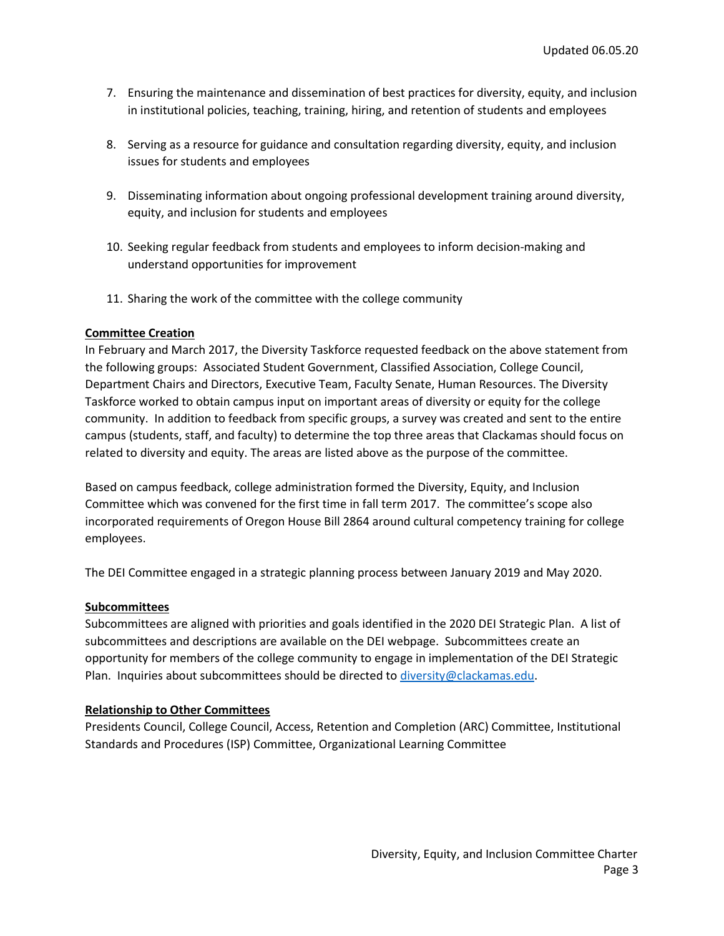- 7. Ensuring the maintenance and dissemination of best practices for diversity, equity, and inclusion in institutional policies, teaching, training, hiring, and retention of students and employees
- 8. Serving as a resource for guidance and consultation regarding diversity, equity, and inclusion issues for students and employees
- 9. Disseminating information about ongoing professional development training around diversity, equity, and inclusion for students and employees
- 10. Seeking regular feedback from students and employees to inform decision-making and understand opportunities for improvement
- 11. Sharing the work of the committee with the college community

#### **Committee Creation**

In February and March 2017, the Diversity Taskforce requested feedback on the above statement from the following groups: Associated Student Government, Classified Association, College Council, Department Chairs and Directors, Executive Team, Faculty Senate, Human Resources. The Diversity Taskforce worked to obtain campus input on important areas of diversity or equity for the college community. In addition to feedback from specific groups, a survey was created and sent to the entire campus (students, staff, and faculty) to determine the top three areas that Clackamas should focus on related to diversity and equity. The areas are listed above as the purpose of the committee.

Based on campus feedback, college administration formed the Diversity, Equity, and Inclusion Committee which was convened for the first time in fall term 2017. The committee's scope also incorporated requirements of Oregon House Bill 2864 around cultural competency training for college employees.

The DEI Committee engaged in a strategic planning process between January 2019 and May 2020.

#### **Subcommittees**

Subcommittees are aligned with priorities and goals identified in the 2020 DEI Strategic Plan. A list of subcommittees and descriptions are available on the DEI webpage. Subcommittees create an opportunity for members of the college community to engage in implementation of the DEI Strategic Plan. Inquiries about subcommittees should be directed to [diversity@clackamas.edu.](mailto:diversity@clackamas.edu)

## **Relationship to Other Committees**

Presidents Council, College Council, Access, Retention and Completion (ARC) Committee, Institutional Standards and Procedures (ISP) Committee, Organizational Learning Committee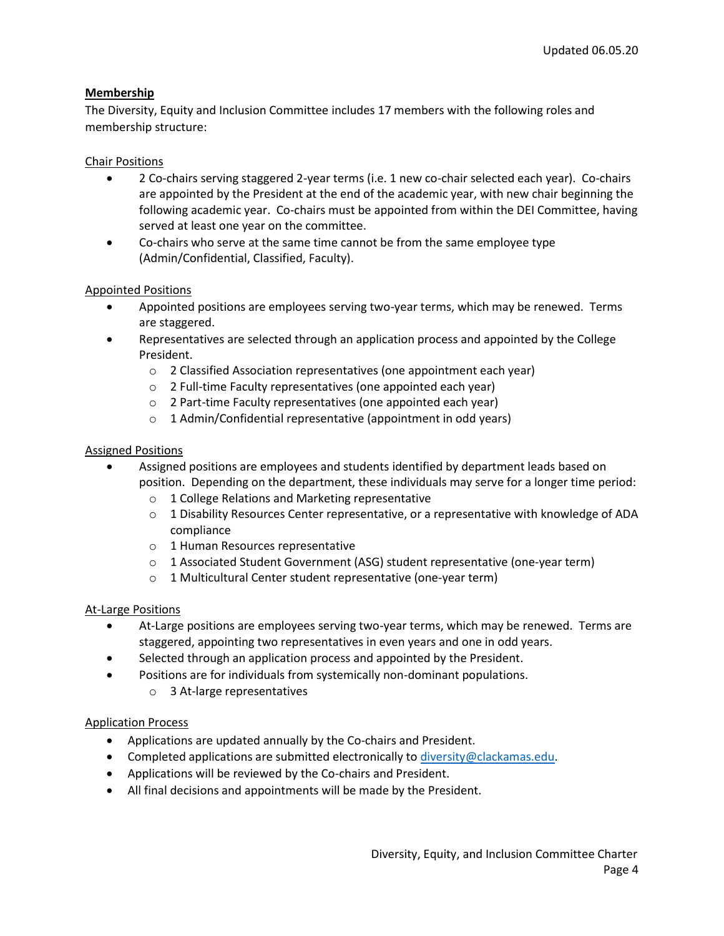# **Membership**

The Diversity, Equity and Inclusion Committee includes 17 members with the following roles and membership structure:

# Chair Positions

- 2 Co-chairs serving staggered 2-year terms (i.e. 1 new co-chair selected each year). Co-chairs are appointed by the President at the end of the academic year, with new chair beginning the following academic year. Co-chairs must be appointed from within the DEI Committee, having served at least one year on the committee.
- Co-chairs who serve at the same time cannot be from the same employee type (Admin/Confidential, Classified, Faculty).

## Appointed Positions

- Appointed positions are employees serving two-year terms, which may be renewed. Terms are staggered.
- Representatives are selected through an application process and appointed by the College President.
	- o 2 Classified Association representatives (one appointment each year)
	- o 2 Full-time Faculty representatives (one appointed each year)
	- o 2 Part-time Faculty representatives (one appointed each year)
	- $\circ$  1 Admin/Confidential representative (appointment in odd years)

#### Assigned Positions

- Assigned positions are employees and students identified by department leads based on position. Depending on the department, these individuals may serve for a longer time period:
	- o 1 College Relations and Marketing representative
	- $\circ$  1 Disability Resources Center representative, or a representative with knowledge of ADA compliance
	- o 1 Human Resources representative
	- o 1 Associated Student Government (ASG) student representative (one-year term)
	- o 1 Multicultural Center student representative (one-year term)

## At-Large Positions

- At-Large positions are employees serving two-year terms, which may be renewed. Terms are staggered, appointing two representatives in even years and one in odd years.
- Selected through an application process and appointed by the President.
- Positions are for individuals from systemically non-dominant populations.
	- o 3 At-large representatives

## Application Process

- Applications are updated annually by the Co-chairs and President.
- **Completed applications are submitted electronically t[o diversity@clackamas.edu.](mailto:diversity@clackamas.edu)**
- Applications will be reviewed by the Co-chairs and President.
- All final decisions and appointments will be made by the President.